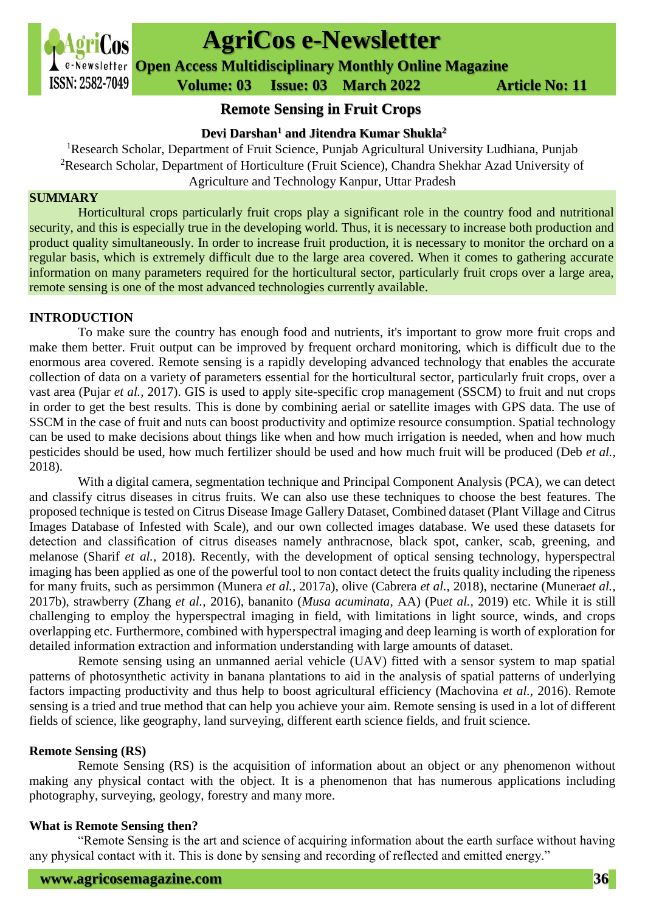

# **AgriCos e-Newsletter**

**Open Access Multidisciplinary Monthly Online Magazine**

 **ISSN: 2582-7049 Volume: 03 Issue: 03 March 2022 Article No: 11** 

## **Remote Sensing in Fruit Crops**

**Devi Darshan<sup>1</sup> and Jitendra Kumar Shukla<sup>2</sup>**

<sup>1</sup>Research Scholar, Department of Fruit Science, Punjab Agricultural University Ludhiana, Punjab <sup>2</sup>Research Scholar, Department of Horticulture (Fruit Science), Chandra Shekhar Azad University of Agriculture and Technology Kanpur, Uttar Pradesh

#### **SUMMARY**

Horticultural crops particularly fruit crops play a significant role in the country food and nutritional security, and this is especially true in the developing world. Thus, it is necessary to increase both production and product quality simultaneously. In order to increase fruit production, it is necessary to monitor the orchard on a regular basis, which is extremely difficult due to the large area covered. When it comes to gathering accurate information on many parameters required for the horticultural sector, particularly fruit crops over a large area, remote sensing is one of the most advanced technologies currently available.

#### **INTRODUCTION**

To make sure the country has enough food and nutrients, it's important to grow more fruit crops and make them better. Fruit output can be improved by frequent orchard monitoring, which is difficult due to the enormous area covered. Remote sensing is a rapidly developing advanced technology that enables the accurate collection of data on a variety of parameters essential for the horticultural sector, particularly fruit crops, over a vast area (Pujar *et al.,* 2017). GIS is used to apply site-specific crop management (SSCM) to fruit and nut crops in order to get the best results. This is done by combining aerial or satellite images with GPS data. The use of SSCM in the case of fruit and nuts can boost productivity and optimize resource consumption. Spatial technology can be used to make decisions about things like when and how much irrigation is needed, when and how much pesticides should be used, how much fertilizer should be used and how much fruit will be produced (Deb *et al.,* 2018).

With a digital camera, segmentation technique and Principal Component Analysis (PCA), we can detect and classify citrus diseases in citrus fruits. We can also use these techniques to choose the best features. The proposed technique is tested on Citrus Disease Image Gallery Dataset, Combined dataset (Plant Village and Citrus Images Database of Infested with Scale), and our own collected images database. We used these datasets for detection and classification of citrus diseases namely anthracnose, black spot, canker, scab, greening, and melanose (Sharif *et al.,* 2018). Recently, with the development of optical sensing technology, hyperspectral imaging has been applied as one of the powerful tool to non contact detect the fruits quality including the ripeness for many fruits, such as persimmon (Munera *et al.,* 2017a), olive (Cabrera *et al.,* 2018), nectarine (Munera*et al.,* 2017b), strawberry (Zhang *et al.,* 2016), bananito (*Musa acuminata*, AA) (Pu*et al.,* 2019) etc. While it is still challenging to employ the hyperspectral imaging in field, with limitations in light source, winds, and crops overlapping etc. Furthermore, combined with hyperspectral imaging and deep learning is worth of exploration for detailed information extraction and information understanding with large amounts of dataset.

Remote sensing using an unmanned aerial vehicle (UAV) fitted with a sensor system to map spatial patterns of photosynthetic activity in banana plantations to aid in the analysis of spatial patterns of underlying factors impacting productivity and thus help to boost agricultural efficiency (Machovina *et al.,* 2016). Remote sensing is a tried and true method that can help you achieve your aim. Remote sensing is used in a lot of different fields of science, like geography, land surveying, different earth science fields, and fruit science.

#### **Remote Sensing (RS)**

Remote Sensing (RS) is the acquisition of information about an object or any phenomenon without making any physical contact with the object. It is a phenomenon that has numerous applications including photography, surveying, geology, forestry and many more.

#### **What is Remote Sensing then?**

"Remote Sensing is the art and science of acquiring information about the earth surface without having any physical contact with it. This is done by sensing and recording of reflected and emitted energy."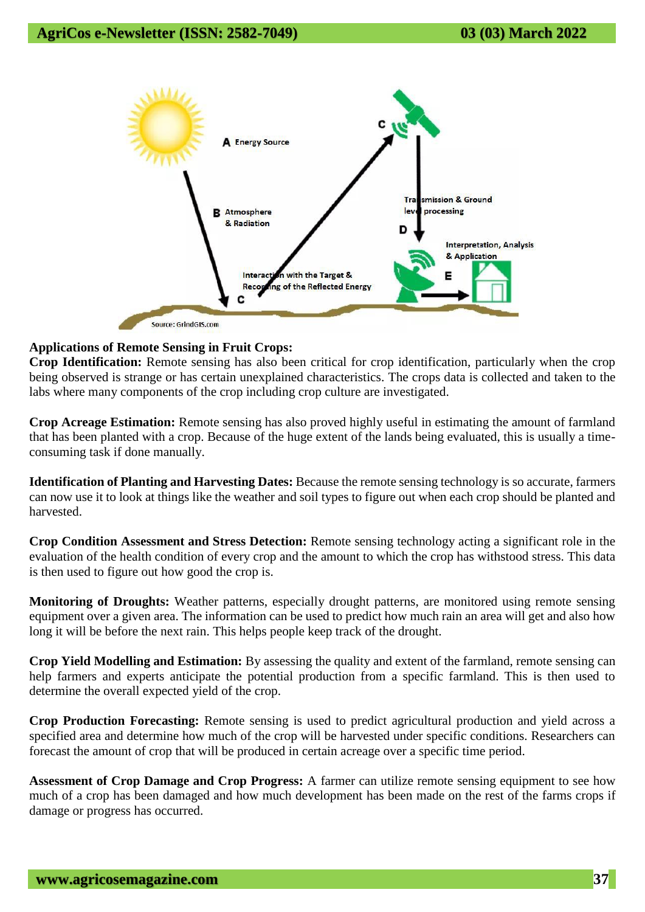

### **Applications of Remote Sensing in Fruit Crops:**

**Crop Identification:** Remote sensing has also been critical for crop identification, particularly when the crop being observed is strange or has certain unexplained characteristics. The crops data is collected and taken to the labs where many components of the crop including crop culture are investigated.

**Crop Acreage Estimation:** Remote sensing has also proved highly useful in estimating the amount of farmland that has been planted with a crop. Because of the huge extent of the lands being evaluated, this is usually a timeconsuming task if done manually.

**Identification of Planting and Harvesting Dates:** Because the remote sensing technology is so accurate, farmers can now use it to look at things like the weather and soil types to figure out when each crop should be planted and harvested.

**Crop Condition Assessment and Stress Detection:** Remote sensing technology acting a significant role in the evaluation of the health condition of every crop and the amount to which the crop has withstood stress. This data is then used to figure out how good the crop is.

**Monitoring of Droughts:** Weather patterns, especially drought patterns, are monitored using remote sensing equipment over a given area. The information can be used to predict how much rain an area will get and also how long it will be before the next rain. This helps people keep track of the drought.

**Crop Yield Modelling and Estimation:** By assessing the quality and extent of the farmland, remote sensing can help farmers and experts anticipate the potential production from a specific farmland. This is then used to determine the overall expected yield of the crop.

**Crop Production Forecasting:** Remote sensing is used to predict agricultural production and yield across a specified area and determine how much of the crop will be harvested under specific conditions. Researchers can forecast the amount of crop that will be produced in certain acreage over a specific time period.

**Assessment of Crop Damage and Crop Progress:** A farmer can utilize remote sensing equipment to see how much of a crop has been damaged and how much development has been made on the rest of the farms crops if damage or progress has occurred.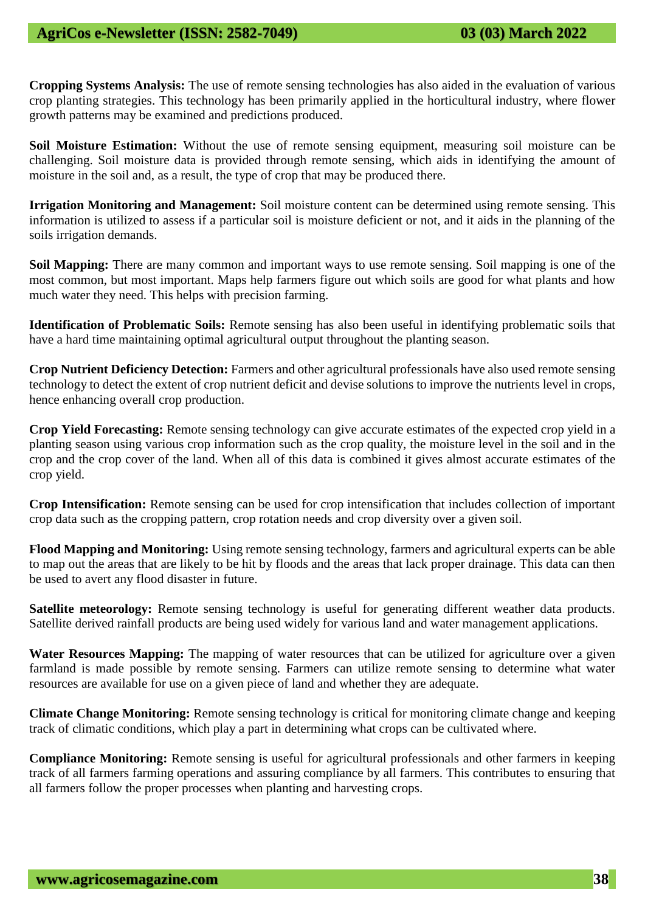**Cropping Systems Analysis:** The use of remote sensing technologies has also aided in the evaluation of various crop planting strategies. This technology has been primarily applied in the horticultural industry, where flower growth patterns may be examined and predictions produced.

**Soil Moisture Estimation:** Without the use of remote sensing equipment, measuring soil moisture can be challenging. Soil moisture data is provided through remote sensing, which aids in identifying the amount of moisture in the soil and, as a result, the type of crop that may be produced there.

**Irrigation Monitoring and Management:** Soil moisture content can be determined using remote sensing. This information is utilized to assess if a particular soil is moisture deficient or not, and it aids in the planning of the soils irrigation demands.

**Soil Mapping:** There are many common and important ways to use remote sensing. Soil mapping is one of the most common, but most important. Maps help farmers figure out which soils are good for what plants and how much water they need. This helps with precision farming.

**Identification of Problematic Soils:** Remote sensing has also been useful in identifying problematic soils that have a hard time maintaining optimal agricultural output throughout the planting season.

**Crop Nutrient Deficiency Detection:** Farmers and other agricultural professionals have also used remote sensing technology to detect the extent of crop nutrient deficit and devise solutions to improve the nutrients level in crops, hence enhancing overall crop production.

**Crop Yield Forecasting:** Remote sensing technology can give accurate estimates of the expected crop yield in a planting season using various crop information such as the crop quality, the moisture level in the soil and in the crop and the crop cover of the land. When all of this data is combined it gives almost accurate estimates of the crop yield.

**Crop Intensification:** Remote sensing can be used for crop intensification that includes collection of important crop data such as the cropping pattern, crop rotation needs and crop diversity over a given soil.

**Flood Mapping and Monitoring:** Using remote sensing technology, farmers and agricultural experts can be able to map out the areas that are likely to be hit by floods and the areas that lack proper drainage. This data can then be used to avert any flood disaster in future.

**Satellite meteorology:** Remote sensing technology is useful for generating different weather data products. Satellite derived rainfall products are being used widely for various land and water management applications.

Water Resources Mapping: The mapping of water resources that can be utilized for agriculture over a given farmland is made possible by remote sensing. Farmers can utilize remote sensing to determine what water resources are available for use on a given piece of land and whether they are adequate.

**Climate Change Monitoring:** Remote sensing technology is critical for monitoring climate change and keeping track of climatic conditions, which play a part in determining what crops can be cultivated where.

**Compliance Monitoring:** Remote sensing is useful for agricultural professionals and other farmers in keeping track of all farmers farming operations and assuring compliance by all farmers. This contributes to ensuring that all farmers follow the proper processes when planting and harvesting crops.